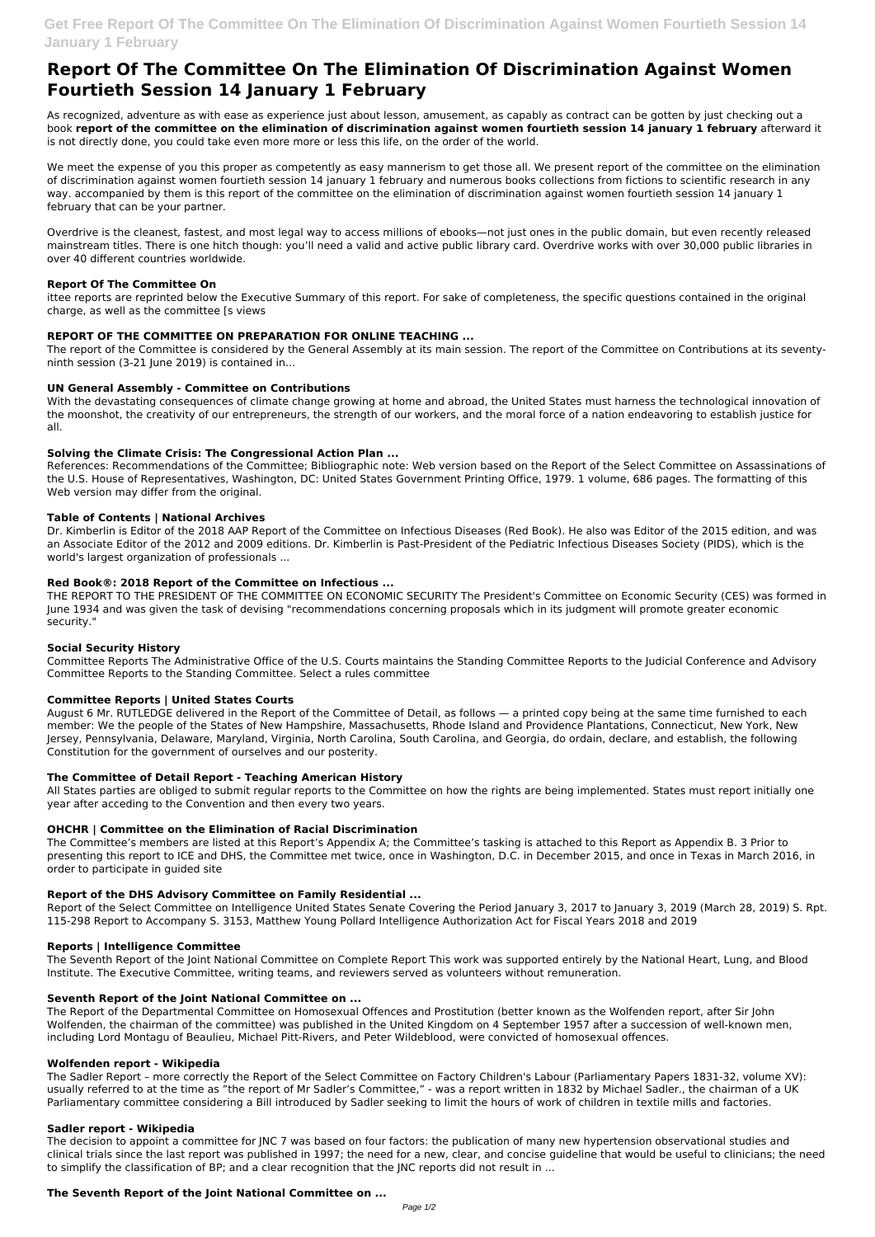# **Report Of The Committee On The Elimination Of Discrimination Against Women Fourtieth Session 14 January 1 February**

As recognized, adventure as with ease as experience just about lesson, amusement, as capably as contract can be gotten by just checking out a book **report of the committee on the elimination of discrimination against women fourtieth session 14 january 1 february** afterward it is not directly done, you could take even more more or less this life, on the order of the world.

We meet the expense of you this proper as competently as easy mannerism to get those all. We present report of the committee on the elimination of discrimination against women fourtieth session 14 january 1 february and numerous books collections from fictions to scientific research in any way. accompanied by them is this report of the committee on the elimination of discrimination against women fourtieth session 14 january 1 february that can be your partner.

Overdrive is the cleanest, fastest, and most legal way to access millions of ebooks—not just ones in the public domain, but even recently released mainstream titles. There is one hitch though: you'll need a valid and active public library card. Overdrive works with over 30,000 public libraries in over 40 different countries worldwide.

# **Report Of The Committee On**

ittee reports are reprinted below the Executive Summary of this report. For sake of completeness, the specific questions contained in the original charge, as well as the committee [s views

# **REPORT OF THE COMMITTEE ON PREPARATION FOR ONLINE TEACHING ...**

The report of the Committee is considered by the General Assembly at its main session. The report of the Committee on Contributions at its seventyninth session (3-21 June 2019) is contained in...

# **UN General Assembly - Committee on Contributions**

With the devastating consequences of climate change growing at home and abroad, the United States must harness the technological innovation of the moonshot, the creativity of our entrepreneurs, the strength of our workers, and the moral force of a nation endeavoring to establish justice for all.

#### **Solving the Climate Crisis: The Congressional Action Plan ...**

References: Recommendations of the Committee; Bibliographic note: Web version based on the Report of the Select Committee on Assassinations of the U.S. House of Representatives, Washington, DC: United States Government Printing Office, 1979. 1 volume, 686 pages. The formatting of this Web version may differ from the original.

# **Table of Contents | National Archives**

Dr. Kimberlin is Editor of the 2018 AAP Report of the Committee on Infectious Diseases (Red Book). He also was Editor of the 2015 edition, and was an Associate Editor of the 2012 and 2009 editions. Dr. Kimberlin is Past-President of the Pediatric Infectious Diseases Society (PIDS), which is the world's largest organization of professionals ...

# **Red Book®: 2018 Report of the Committee on Infectious ...**

THE REPORT TO THE PRESIDENT OF THE COMMITTEE ON ECONOMIC SECURITY The President's Committee on Economic Security (CES) was formed in June 1934 and was given the task of devising "recommendations concerning proposals which in its judgment will promote greater economic security."

# **Social Security History**

Committee Reports The Administrative Office of the U.S. Courts maintains the Standing Committee Reports to the Judicial Conference and Advisory Committee Reports to the Standing Committee. Select a rules committee

# **Committee Reports | United States Courts**

August 6 Mr. RUTLEDGE delivered in the Report of the Committee of Detail, as follows — a printed copy being at the same time furnished to each member: We the people of the States of New Hampshire, Massachusetts, Rhode Island and Providence Plantations, Connecticut, New York, New Jersey, Pennsylvania, Delaware, Maryland, Virginia, North Carolina, South Carolina, and Georgia, do ordain, declare, and establish, the following Constitution for the government of ourselves and our posterity.

#### **The Committee of Detail Report - Teaching American History**

All States parties are obliged to submit regular reports to the Committee on how the rights are being implemented. States must report initially one year after acceding to the Convention and then every two years.

# **OHCHR | Committee on the Elimination of Racial Discrimination**

The Committee's members are listed at this Report's Appendix A; the Committee's tasking is attached to this Report as Appendix B. 3 Prior to presenting this report to ICE and DHS, the Committee met twice, once in Washington, D.C. in December 2015, and once in Texas in March 2016, in order to participate in guided site

# **Report of the DHS Advisory Committee on Family Residential ...**

Report of the Select Committee on Intelligence United States Senate Covering the Period January 3, 2017 to January 3, 2019 (March 28, 2019) S. Rpt. 115-298 Report to Accompany S. 3153, Matthew Young Pollard Intelligence Authorization Act for Fiscal Years 2018 and 2019

#### **Reports | Intelligence Committee**

The Seventh Report of the Joint National Committee on Complete Report This work was supported entirely by the National Heart, Lung, and Blood Institute. The Executive Committee, writing teams, and reviewers served as volunteers without remuneration.

#### **Seventh Report of the Joint National Committee on ...**

The Report of the Departmental Committee on Homosexual Offences and Prostitution (better known as the Wolfenden report, after Sir John Wolfenden, the chairman of the committee) was published in the United Kingdom on 4 September 1957 after a succession of well-known men, including Lord Montagu of Beaulieu, Michael Pitt-Rivers, and Peter Wildeblood, were convicted of homosexual offences.

#### **Wolfenden report - Wikipedia**

The Sadler Report – more correctly the Report of the Select Committee on Factory Children's Labour (Parliamentary Papers 1831-32, volume XV): usually referred to at the time as "the report of Mr Sadler's Committee," - was a report written in 1832 by Michael Sadler., the chairman of a UK Parliamentary committee considering a Bill introduced by Sadler seeking to limit the hours of work of children in textile mills and factories.

#### **Sadler report - Wikipedia**

The decision to appoint a committee for JNC 7 was based on four factors: the publication of many new hypertension observational studies and clinical trials since the last report was published in 1997; the need for a new, clear, and concise guideline that would be useful to clinicians; the need to simplify the classification of BP; and a clear recognition that the JNC reports did not result in ...

#### **The Seventh Report of the Joint National Committee on ...**